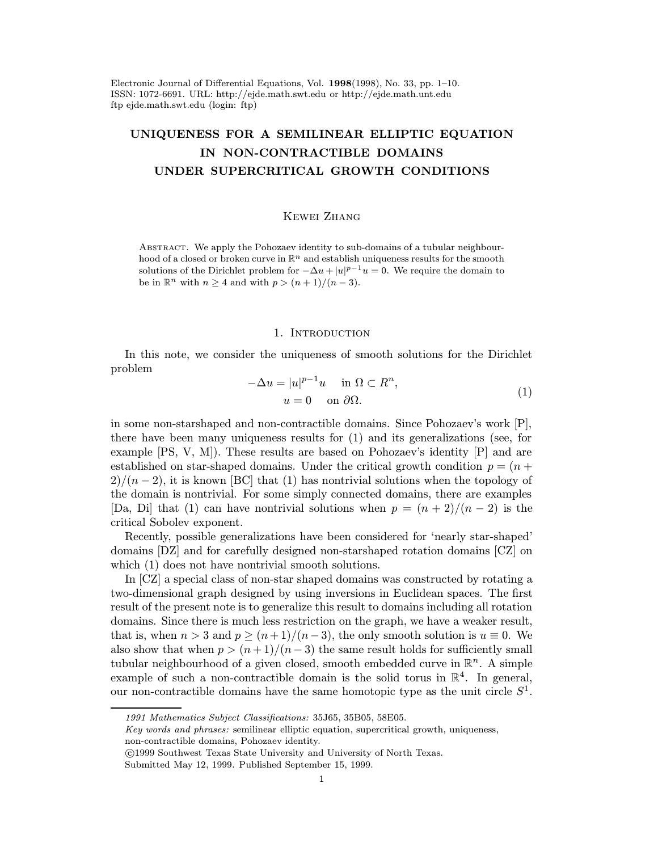Electronic Journal of Differential Equations, Vol. 1998(1998), No. 33, pp. 1–10. ISSN: 1072-6691. URL: http://ejde.math.swt.edu or http://ejde.math.unt.edu ftp ejde.math.swt.edu (login: ftp)

# UNIQUENESS FOR A SEMILINEAR ELLIPTIC EQUATION IN NON-CONTRACTIBLE DOMAINS UNDER SUPERCRITICAL GROWTH CONDITIONS

## Kewei Zhang

Abstract. We apply the Pohozaev identity to sub-domains of a tubular neighbourhood of a closed or broken curve in  $\mathbb{R}^n$  and establish uniqueness results for the smooth solutions of the Dirichlet problem for  $-\Delta u + |u|^{p-1}u = 0$ . We require the domain to be in  $\mathbb{R}^n$  with  $n \geq 4$  and with  $p > (n+1)/(n-3)$ .

### 1. INTRODUCTION

In this note, we consider the uniqueness of smooth solutions for the Dirichlet problem

$$
-\Delta u = |u|^{p-1}u \quad \text{in } \Omega \subset R^n,
$$
  

$$
u = 0 \quad \text{on } \partial\Omega.
$$
 (1)

in some non-starshaped and non-contractible domains. Since Pohozaev's work [P], there have been many uniqueness results for (1) and its generalizations (see, for example [PS, V, M]). These results are based on Pohozaev's identity [P] and are established on star-shaped domains. Under the critical growth condition  $p = (n +$  $2)/(n-2)$ , it is known [BC] that (1) has nontrivial solutions when the topology of the domain is nontrivial. For some simply connected domains, there are examples [Da, Di] that (1) can have nontrivial solutions when  $p = (n + 2)/(n - 2)$  is the critical Sobolev exponent.

Recently, possible generalizations have been considered for 'nearly star-shaped' domains [DZ] and for carefully designed non-starshaped rotation domains [CZ] on which  $(1)$  does not have nontrivial smooth solutions.

In [CZ] a special class of non-star shaped domains was constructed by rotating a two-dimensional graph designed by using inversions in Euclidean spaces. The first result of the present note is to generalize this result to domains including all rotation domains. Since there is much less restriction on the graph, we have a weaker result, that is, when  $n > 3$  and  $p \ge (n+1)/(n-3)$ , the only smooth solution is  $u \equiv 0$ . We also show that when  $p > (n+1)/(n-3)$  the same result holds for sufficiently small tubular neighbourhood of a given closed, smooth embedded curve in  $\mathbb{R}^n$ . A simple example of such a non-contractible domain is the solid torus in  $\mathbb{R}^4$ . In general, our non-contractible domains have the same homotopic type as the unit circle  $S<sup>1</sup>$ .

Key words and phrases: semilinear elliptic equation, supercritical growth, uniqueness, non-contractible domains, Pohozaev identity.

c 1999 Southwest Texas State University and University of North Texas.

<sup>1991</sup> Mathematics Subject Classifications: 35J65, 35B05, 58E05.

Submitted May 12, 1999. Published September 15, 1999.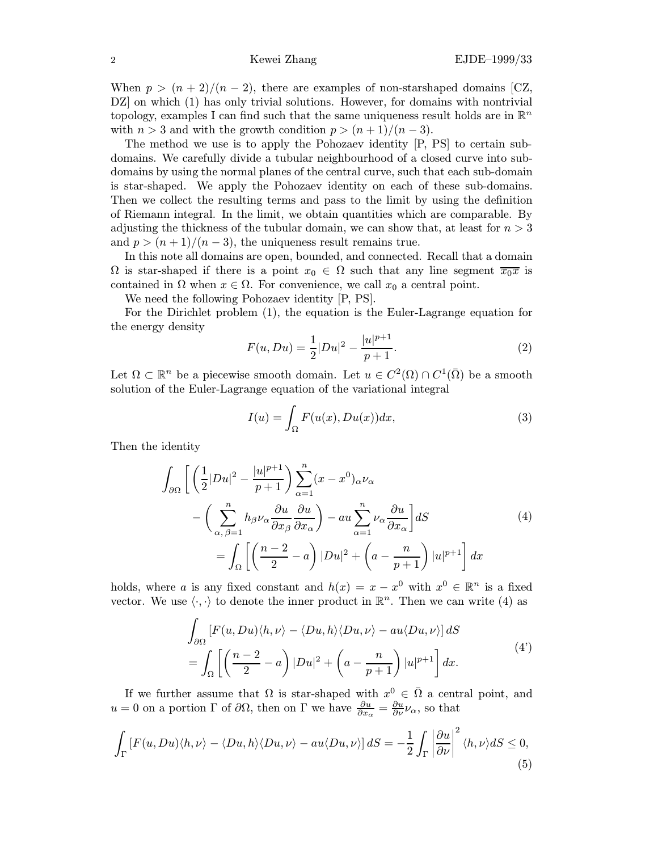When  $p > (n+2)/(n-2)$ , there are examples of non-starshaped domains [CZ, DZ on which (1) has only trivial solutions. However, for domains with nontrivial topology, examples I can find such that the same uniqueness result holds are in  $\mathbb{R}^n$ with  $n > 3$  and with the growth condition  $p > (n+1)/(n-3)$ .

The method we use is to apply the Pohozaev identity [P, PS] to certain subdomains. We carefully divide a tubular neighbourhood of a closed curve into subdomains by using the normal planes of the central curve, such that each sub-domain is star-shaped. We apply the Pohozaev identity on each of these sub-domains. Then we collect the resulting terms and pass to the limit by using the definition of Riemann integral. In the limit, we obtain quantities which are comparable. By adjusting the thickness of the tubular domain, we can show that, at least for  $n > 3$ and  $p > (n+1)/(n-3)$ , the uniqueness result remains true.

In this note all domains are open, bounded, and connected. Recall that a domain  $\Omega$  is star-shaped if there is a point  $x_0 \in \Omega$  such that any line segment  $\overline{x_0x}$  is contained in  $\Omega$  when  $x \in \Omega$ . For convenience, we call  $x_0$  a central point.

We need the following Pohozaev identity [P, PS].

For the Dirichlet problem (1), the equation is the Euler-Lagrange equation for the energy density

$$
F(u, Du) = \frac{1}{2}|Du|^2 - \frac{|u|^{p+1}}{p+1}.
$$
 (2)

Let  $\Omega \subset \mathbb{R}^n$  be a piecewise smooth domain. Let  $u \in C^2(\Omega) \cap C^1(\overline{\Omega})$  be a smooth solution of the Euler-Lagrange equation of the variational integral

$$
I(u) = \int_{\Omega} F(u(x), Du(x))dx,
$$
 (3)

Then the identity

$$
\int_{\partial\Omega} \left[ \left( \frac{1}{2} |Du|^2 - \frac{|u|^{p+1}}{p+1} \right) \sum_{\alpha=1}^n (x - x^0)_{\alpha} \nu_{\alpha} \right] \n- \left( \sum_{\alpha, \beta=1}^n h_{\beta} \nu_{\alpha} \frac{\partial u}{\partial x_{\beta}} \frac{\partial u}{\partial x_{\alpha}} \right) - au \sum_{\alpha=1}^n \nu_{\alpha} \frac{\partial u}{\partial x_{\alpha}} ds \n= \int_{\Omega} \left[ \left( \frac{n-2}{2} - a \right) |Du|^2 + \left( a - \frac{n}{p+1} \right) |u|^{p+1} \right] dx
$$
\n(4)

holds, where a is any fixed constant and  $h(x) = x - x^0$  with  $x^0 \in \mathbb{R}^n$  is a fixed vector. We use  $\langle \cdot, \cdot \rangle$  to denote the inner product in  $\mathbb{R}^n$ . Then we can write (4) as

$$
\int_{\partial\Omega} \left[ F(u, Du)\langle h, \nu \rangle - \langle Du, h \rangle \langle Du, \nu \rangle - au \langle Du, \nu \rangle \right] dS
$$
\n
$$
= \int_{\Omega} \left[ \left( \frac{n-2}{2} - a \right) |Du|^2 + \left( a - \frac{n}{p+1} \right) |u|^{p+1} \right] dx.
$$
\n(4')

If we further assume that  $\Omega$  is star-shaped with  $x^0 \in \overline{\Omega}$  a central point, and  $u = 0$  on a portion  $\Gamma$  of  $\partial\Omega$ , then on  $\Gamma$  we have  $\frac{\partial u}{\partial x_{\alpha}} = \frac{\partial u}{\partial \nu} \nu_{\alpha}$ , so that

$$
\int_{\Gamma} \left[ F(u, Du) \langle h, \nu \rangle - \langle Du, h \rangle \langle Du, \nu \rangle - au \langle Du, \nu \rangle \right] dS = -\frac{1}{2} \int_{\Gamma} \left| \frac{\partial u}{\partial \nu} \right|^2 \langle h, \nu \rangle dS \le 0,
$$
\n(5)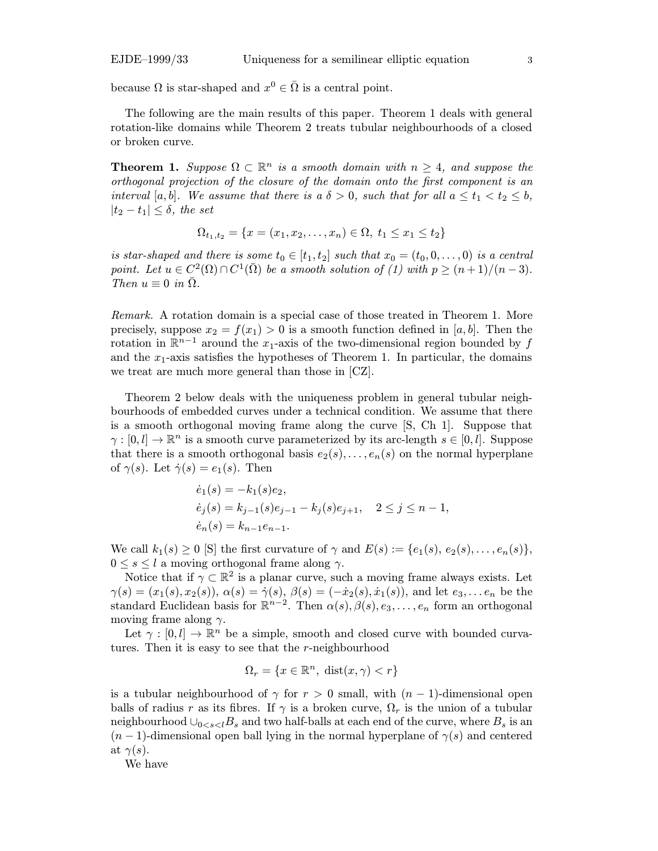because  $\Omega$  is star-shaped and  $x^0 \in \overline{\Omega}$  is a central point.

The following are the main results of this paper. Theorem 1 deals with general rotation-like domains while Theorem 2 treats tubular neighbourhoods of a closed or broken curve.

**Theorem 1.** Suppose  $\Omega \subset \mathbb{R}^n$  is a smooth domain with  $n \geq 4$ , and suppose the orthogonal projection of the closure of the domain onto the first component is an interval [a, b]. We assume that there is a  $\delta > 0$ , such that for all  $a \le t_1 < t_2 \le b$ ,  $|t_2-t_1|\leq \delta$ , the set

$$
\Omega_{t_1,t_2} = \{x = (x_1, x_2, \dots, x_n) \in \Omega, \ t_1 \le x_1 \le t_2\}
$$

is star-shaped and there is some  $t_0 \in [t_1, t_2]$  such that  $x_0 = (t_0, 0, \ldots, 0)$  is a central point. Let  $u \in C^2(\Omega) \cap C^1(\overline{\Omega})$  be a smooth solution of (1) with  $p \ge (n+1)/(n-3)$ . Then  $u \equiv 0$  in  $\overline{\Omega}$ .

Remark. A rotation domain is a special case of those treated in Theorem 1. More precisely, suppose  $x_2 = f(x_1) > 0$  is a smooth function defined in [a, b]. Then the rotation in  $\mathbb{R}^{n-1}$  around the x<sub>1</sub>-axis of the two-dimensional region bounded by f and the  $x_1$ -axis satisfies the hypotheses of Theorem 1. In particular, the domains we treat are much more general than those in [CZ].

Theorem 2 below deals with the uniqueness problem in general tubular neighbourhoods of embedded curves under a technical condition. We assume that there is a smooth orthogonal moving frame along the curve [S, Ch 1]. Suppose that  $\gamma : [0, l] \to \mathbb{R}^n$  is a smooth curve parameterized by its arc-length  $s \in [0, l]$ . Suppose that there is a smooth orthogonal basis  $e_2(s), \ldots, e_n(s)$  on the normal hyperplane of  $\gamma(s)$ . Let  $\dot{\gamma}(s) = e_1(s)$ . Then

$$
\begin{aligned}\n\dot{e}_1(s) &= -k_1(s)e_2, \\
\dot{e}_j(s) &= k_{j-1}(s)e_{j-1} - k_j(s)e_{j+1}, \quad 2 \le j \le n-1, \\
\dot{e}_n(s) &= k_{n-1}e_{n-1}.\n\end{aligned}
$$

We call  $k_1(s) \geq 0$  [S] the first curvature of  $\gamma$  and  $E(s) := \{e_1(s), e_2(s), \ldots, e_n(s)\},$  $0 \leq s \leq l$  a moving orthogonal frame along  $\gamma$ .

Notice that if  $\gamma \subset \mathbb{R}^2$  is a planar curve, such a moving frame always exists. Let  $\gamma(s)=(x_1(s), x_2(s)), \alpha(s)=\dot{\gamma}(s), \beta(s)=(-\dot{x}_2(s), \dot{x}_1(s)),$  and let  $e_3,...e_n$  be the standard Euclidean basis for  $\mathbb{R}^{n-2}$ . Then  $\alpha(s)$ ,  $\beta(s)$ ,  $e_3$ , ...,  $e_n$  form an orthogonal moving frame along  $\gamma$ .

Let  $\gamma : [0, l] \to \mathbb{R}^n$  be a simple, smooth and closed curve with bounded curvatures. Then it is easy to see that the r-neighbourhood

$$
\Omega_r = \{ x \in \mathbb{R}^n, \ \text{dist}(x, \gamma) < r \}
$$

is a tubular neighbourhood of  $\gamma$  for  $r > 0$  small, with  $(n - 1)$ -dimensional open balls of radius r as its fibres. If  $\gamma$  is a broken curve,  $\Omega_r$  is the union of a tubular neighbourhood  $\bigcup_{0 \le s \le l} B_s$  and two half-balls at each end of the curve, where  $B_s$  is an  $(n-1)$ -dimensional open ball lying in the normal hyperplane of  $\gamma(s)$  and centered at  $\gamma(s)$ .

We have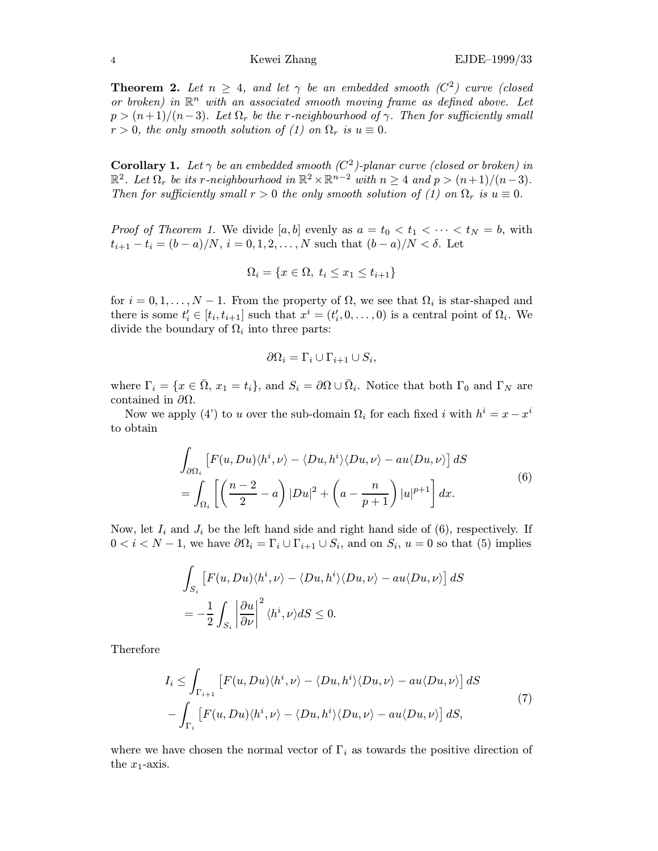**Theorem 2.** Let  $n \geq 4$ , and let  $\gamma$  be an embedded smooth (C<sup>2</sup>) curve (closed or broken) in  $\mathbb{R}^n$  with an associated smooth moving frame as defined above. Let  $p > (n+1)/(n-3)$ . Let  $\Omega_r$  be the r-neighbourhood of  $\gamma$ . Then for sufficiently small  $r > 0$ , the only smooth solution of (1) on  $\Omega_r$  is  $u \equiv 0$ .

**Corollary 1.** Let  $\gamma$  be an embedded smooth ( $C^2$ )-planar curve (closed or broken) in  $\mathbb{R}^2$ . Let  $\Omega_r$  be its r-neighbourhood in  $\mathbb{R}^2 \times \mathbb{R}^{n-2}$  with  $n \geq 4$  and  $p > (n+1)/(n-3)$ . Then for sufficiently small  $r > 0$  the only smooth solution of (1) on  $\Omega_r$  is  $u \equiv 0$ .

*Proof of Theorem 1.* We divide [a, b] evenly as  $a = t_0 < t_1 < \cdots < t_N = b$ , with  $t_{i+1} - t_i = (b - a)/N$ ,  $i = 0, 1, 2, ..., N$  such that  $(b - a)/N < \delta$ . Let

$$
\Omega_i = \{ x \in \Omega, t_i \le x_1 \le t_{i+1} \}
$$

for  $i = 0, 1, \ldots, N - 1$ . From the property of  $\Omega$ , we see that  $\Omega_i$  is star-shaped and there is some  $t'_{i} \in [t_{i}, t_{i+1}]$  such that  $x^{i} = (t'_{i}, 0, \ldots, 0)$  is a central point of  $\Omega_{i}$ . We divide the boundary of  $\Omega_i$  into three parts:

$$
\partial\Omega_i = \Gamma_i \cup \Gamma_{i+1} \cup S_i,
$$

where  $\Gamma_i = \{x \in \bar{\Omega}, x_1 = t_i\}$ , and  $S_i = \partial \Omega \cup \bar{\Omega}_i$ . Notice that both  $\Gamma_0$  and  $\Gamma_N$  are contained in  $\partial\Omega$ .

Now we apply (4') to u over the sub-domain  $\Omega_i$  for each fixed i with  $h^i = x - x^i$ to obtain

$$
\int_{\partial\Omega_i} \left[ F(u, Du) \langle h^i, \nu \rangle - \langle Du, h^i \rangle \langle Du, \nu \rangle - au \langle Du, \nu \rangle \right] dS
$$
\n
$$
= \int_{\Omega_i} \left[ \left( \frac{n-2}{2} - a \right) |Du|^2 + \left( a - \frac{n}{p+1} \right) |u|^{p+1} \right] dx.
$$
\n(6)

Now, let  $I_i$  and  $J_i$  be the left hand side and right hand side of (6), respectively. If  $0 < i < N - 1$ , we have  $\partial \Omega_i = \Gamma_i \cup \Gamma_{i+1} \cup S_i$ , and on  $S_i$ ,  $u = 0$  so that (5) implies

$$
\int_{S_i} \left[ F(u, Du) \langle h^i, \nu \rangle - \langle Du, h^i \rangle \langle Du, \nu \rangle - au \langle Du, \nu \rangle \right] dS
$$
  
= 
$$
- \frac{1}{2} \int_{S_i} \left| \frac{\partial u}{\partial \nu} \right|^2 \langle h^i, \nu \rangle dS \le 0.
$$

Therefore

$$
I_i \leq \int_{\Gamma_{i+1}} \left[ F(u, Du) \langle h^i, \nu \rangle - \langle Du, h^i \rangle \langle Du, \nu \rangle - au \langle Du, \nu \rangle \right] dS
$$
  
- 
$$
\int_{\Gamma_i} \left[ F(u, Du) \langle h^i, \nu \rangle - \langle Du, h^i \rangle \langle Du, \nu \rangle - au \langle Du, \nu \rangle \right] dS,
$$
 (7)

where we have chosen the normal vector of  $\Gamma_i$  as towards the positive direction of the  $x_1$ -axis.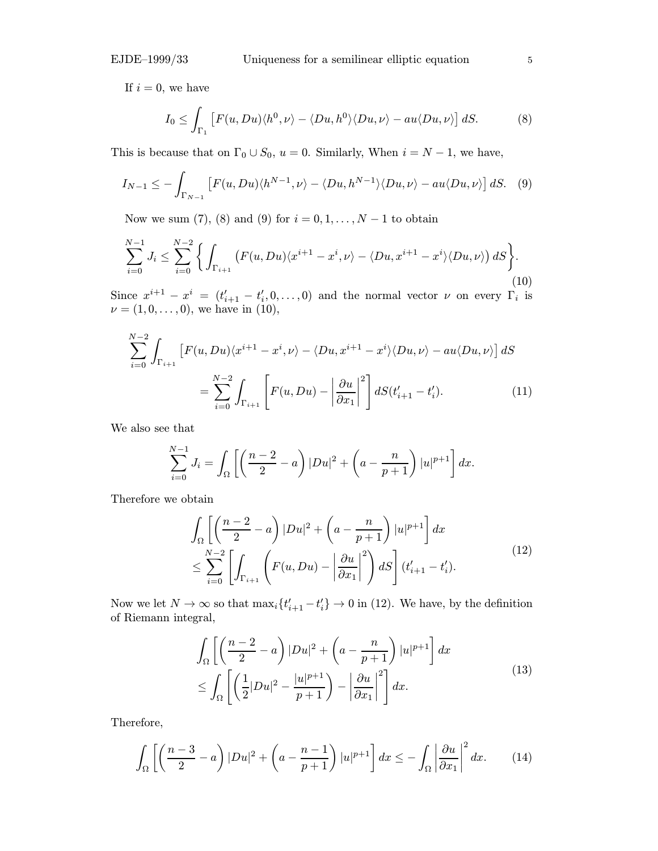If  $i = 0$ , we have

$$
I_0 \leq \int_{\Gamma_1} \left[ F(u, Du) \langle h^0, \nu \rangle - \langle Du, h^0 \rangle \langle Du, \nu \rangle - au \langle Du, \nu \rangle \right] dS. \tag{8}
$$

This is because that on  $\Gamma_0 \cup S_0$ ,  $u = 0$ . Similarly, When  $i = N - 1$ , we have,

$$
I_{N-1} \leq -\int_{\Gamma_{N-1}} \left[ F(u, Du) \langle h^{N-1}, \nu \rangle - \langle Du, h^{N-1} \rangle \langle Du, \nu \rangle - au \langle Du, \nu \rangle \right] dS. \tag{9}
$$

Now we sum (7), (8) and (9) for  $i = 0, 1, ..., N - 1$  to obtain

$$
\sum_{i=0}^{N-1} J_i \le \sum_{i=0}^{N-2} \left\{ \int_{\Gamma_{i+1}} \left( F(u, Du) \langle x^{i+1} - x^i, \nu \rangle - \langle Du, x^{i+1} - x^i \rangle \langle Du, \nu \rangle \right) dS \right\}.
$$
\n(10)

Since  $x^{i+1} - x^i = (t'_{i+1} - t'_{i}, 0, \ldots, 0)$  and the normal vector  $\nu$  on every  $\Gamma_i$  is  $\nu = (1, 0, \ldots, 0),$  we have in (10),

$$
\sum_{i=0}^{N-2} \int_{\Gamma_{i+1}} \left[ F(u, Du) \langle x^{i+1} - x^i, \nu \rangle - \langle Du, x^{i+1} - x^i \rangle \langle Du, \nu \rangle - au \langle Du, \nu \rangle \right] dS
$$
  

$$
= \sum_{i=0}^{N-2} \int_{\Gamma_{i+1}} \left[ F(u, Du) - \left| \frac{\partial u}{\partial x_1} \right|^2 \right] dS(t'_{i+1} - t'_i). \tag{11}
$$

We also see that

$$
\sum_{i=0}^{N-1} J_i = \int_{\Omega} \left[ \left( \frac{n-2}{2} - a \right) |Du|^2 + \left( a - \frac{n}{p+1} \right) |u|^{p+1} \right] dx.
$$

Therefore we obtain

$$
\int_{\Omega} \left[ \left( \frac{n-2}{2} - a \right) |Du|^2 + \left( a - \frac{n}{p+1} \right) |u|^{p+1} \right] dx
$$
\n
$$
\leq \sum_{i=0}^{N-2} \left[ \int_{\Gamma_{i+1}} \left( F(u, Du) - \left| \frac{\partial u}{\partial x_1} \right|^2 \right) dS \right] (t'_{i+1} - t'_i).
$$
\n(12)

Now we let  $N \to \infty$  so that  $\max_i \{t'_{i+1} - t'_i\} \to 0$  in (12). We have, by the definition of Riemann integral,

$$
\int_{\Omega} \left[ \left( \frac{n-2}{2} - a \right) |Du|^2 + \left( a - \frac{n}{p+1} \right) |u|^{p+1} \right] dx
$$
\n
$$
\leq \int_{\Omega} \left[ \left( \frac{1}{2} |Du|^2 - \frac{|u|^{p+1}}{p+1} \right) - \left| \frac{\partial u}{\partial x_1} \right|^2 \right] dx.
$$
\n(13)

Therefore,

$$
\int_{\Omega} \left[ \left( \frac{n-3}{2} - a \right) |Du|^2 + \left( a - \frac{n-1}{p+1} \right) |u|^{p+1} \right] dx \le - \int_{\Omega} \left| \frac{\partial u}{\partial x_1} \right|^2 dx. \tag{14}
$$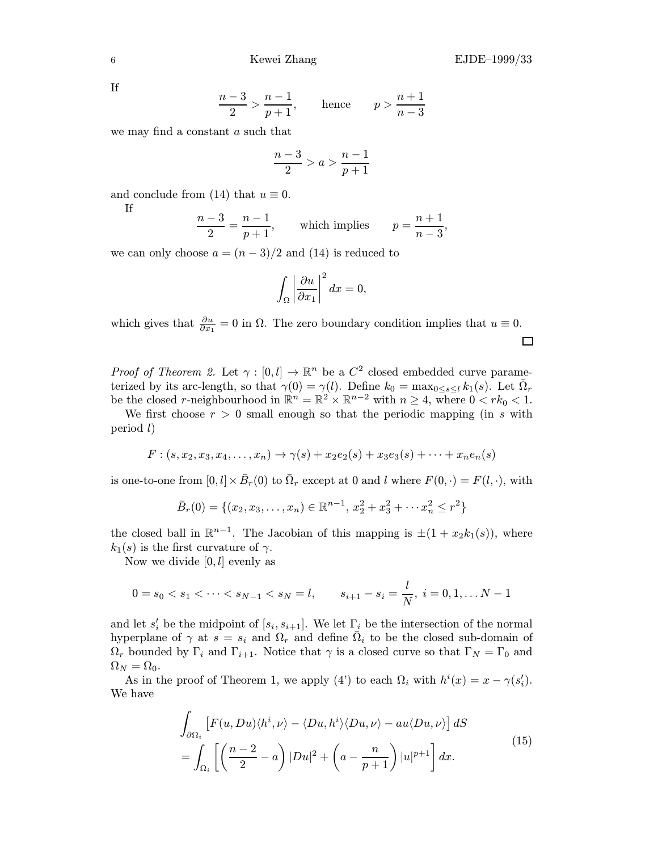If

$$
\frac{n-3}{2} > \frac{n-1}{p+1},
$$
 hence 
$$
p > \frac{n+1}{n-3}
$$

we may find a constant a such that

$$
\frac{n-3}{2} > a > \frac{n-1}{p+1}
$$

and conclude from (14) that  $u \equiv 0$ .

If

$$
\frac{n-3}{2} = \frac{n-1}{p+1},
$$
 which implies 
$$
p = \frac{n+1}{n-3},
$$

we can only choose  $a = (n-3)/2$  and (14) is reduced to

$$
\int_{\Omega} \left| \frac{\partial u}{\partial x_1} \right|^2 dx = 0,
$$

which gives that  $\frac{\partial u}{\partial x_1} = 0$  in  $\Omega$ . The zero boundary condition implies that  $u \equiv 0$ .  $\Box$ 

*Proof of Theorem 2.* Let  $\gamma : [0, l] \to \mathbb{R}^n$  be a  $C^2$  closed embedded curve parameterized by its arc-length, so that  $\gamma(0) = \gamma(l)$ . Define  $k_0 = \max_{0 \le s \le l} k_1(s)$ . Let  $\overline{\Omega}_r$ be the closed r-neighbourhood in  $\mathbb{R}^n = \mathbb{R}^2 \times \mathbb{R}^{n-2}$  with  $n \geq 4$ , where  $0 < rk_0 < 1$ .

We first choose  $r > 0$  small enough so that the periodic mapping (in s with period l)

$$
F:(s, x_2, x_3, x_4, \ldots, x_n) \to \gamma(s) + x_2 e_2(s) + x_3 e_3(s) + \cdots + x_n e_n(s)
$$

is one-to-one from  $[0, l] \times \bar{B}_r(0)$  to  $\bar{\Omega}_r$  except at 0 and l where  $F(0, \cdot) = F(l, \cdot)$ , with

$$
\bar{B}_r(0) = \{(x_2, x_3, \dots, x_n) \in \mathbb{R}^{n-1}, x_2^2 + x_3^2 + \dots + x_n^2 \le r^2\}
$$

the closed ball in  $\mathbb{R}^{n-1}$ . The Jacobian of this mapping is  $\pm(1+x_2k_1(s))$ , where  $k_1(s)$  is the first curvature of  $\gamma$ .

Now we divide  $[0, l]$  evenly as

$$
0=s_0 < s_1 < \cdots < s_{N-1} < s_N=l, \qquad s_{i+1}-s_i = \frac{l}{N}, \ i=0,1,\ldots N-1
$$

and let  $s_i'$  be the midpoint of  $[s_i, s_{i+1}]$ . We let  $\Gamma_i$  be the intersection of the normal hyperplane of  $\gamma$  at  $s = s_i$  and  $\Omega_r$  and define  $\overline{\Omega}_i$  to be the closed sub-domain of  $\Omega_r$  bounded by  $\Gamma_i$  and  $\Gamma_{i+1}$ . Notice that  $\gamma$  is a closed curve so that  $\Gamma_N = \Gamma_0$  and  $\Omega_N = \Omega_0.$ 

As in the proof of Theorem 1, we apply (4') to each  $\Omega_i$  with  $h^i(x) = x - \gamma(s'_i)$ . We have

$$
\int_{\partial\Omega_i} \left[ F(u, Du) \langle h^i, \nu \rangle - \langle Du, h^i \rangle \langle Du, \nu \rangle - au \langle Du, \nu \rangle \right] dS
$$
\n
$$
= \int_{\Omega_i} \left[ \left( \frac{n-2}{2} - a \right) |Du|^2 + \left( a - \frac{n}{p+1} \right) |u|^{p+1} \right] dx.
$$
\n(15)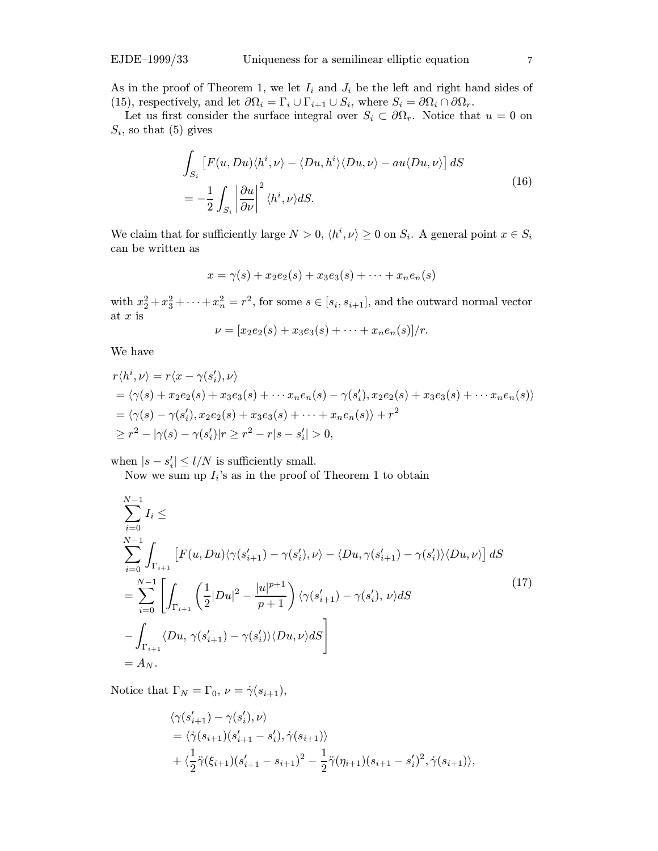As in the proof of Theorem 1, we let  $I_i$  and  $J_i$  be the left and right hand sides of (15), respectively, and let  $\partial\Omega_i = \Gamma_i \cup \Gamma_{i+1} \cup S_i$ , where  $S_i = \partial\Omega_i \cap \partial\Omega_r$ .

Let us first consider the surface integral over  $S_i \subset \partial \Omega_r$ . Notice that  $u = 0$  on  $S_i$ , so that (5) gives

$$
\int_{S_i} \left[ F(u, Du) \langle h^i, \nu \rangle - \langle Du, h^i \rangle \langle Du, \nu \rangle - au \langle Du, \nu \rangle \right] dS
$$
\n
$$
= -\frac{1}{2} \int_{S_i} \left| \frac{\partial u}{\partial \nu} \right|^2 \langle h^i, \nu \rangle dS. \tag{16}
$$

We claim that for sufficiently large  $N > 0$ ,  $\langle h^i, \nu \rangle \ge 0$  on  $S_i$ . A general point  $x \in S_i$ can be written as

$$
x = \gamma(s) + x_2 e_2(s) + x_3 e_3(s) + \dots + x_n e_n(s)
$$

with  $x_2^2 + x_3^2 + \cdots + x_n^2 = r^2$ , for some  $s \in [s_i, s_{i+1}]$ , and the outward normal vector at  $x$  is

$$
\nu = [x_2e_2(s) + x_3e_3(s) + \cdots + x_ne_n(s)]/r.
$$

We have

$$
r\langle h^i, \nu \rangle = r\langle x - \gamma(s'_i), \nu \rangle
$$
  
=  $\langle \gamma(s) + x_2 e_2(s) + x_3 e_3(s) + \cdots x_n e_n(s) - \gamma(s'_i), x_2 e_2(s) + x_3 e_3(s) + \cdots x_n e_n(s) \rangle$   
=  $\langle \gamma(s) - \gamma(s'_i), x_2 e_2(s) + x_3 e_3(s) + \cdots + x_n e_n(s) \rangle + r^2$   
 $\ge r^2 - |\gamma(s) - \gamma(s'_i)| r \ge r^2 - r|s - s'_i| > 0,$ 

when  $|s - s'_i| \leq l/N$  is sufficiently small.

Now we sum up  $I_i$ 's as in the proof of Theorem 1 to obtain

$$
\sum_{i=0}^{N-1} I_i \le
$$
\n
$$
\sum_{i=0}^{N-1} \int_{\Gamma_{i+1}} \left[ F(u, Du) \langle \gamma(s'_{i+1}) - \gamma(s'_i), \nu \rangle - \langle Du, \gamma(s'_{i+1}) - \gamma(s'_i) \rangle \langle Du, \nu \rangle \right] dS
$$
\n
$$
= \sum_{i=0}^{N-1} \left[ \int_{\Gamma_{i+1}} \left( \frac{1}{2} |Du|^2 - \frac{|u|^{p+1}}{p+1} \right) \langle \gamma(s'_{i+1}) - \gamma(s'_i), \nu \rangle dS - \int_{\Gamma_{i+1}} \langle Du, \gamma(s'_{i+1}) - \gamma(s'_i) \rangle \langle Du, \nu \rangle dS \right]
$$
\n
$$
= A_N.
$$
\n(17)

Notice that  $\Gamma_N = \Gamma_0, \nu = \dot{\gamma}(s_{i+1}),$ 

$$
\langle \gamma(s'_{i+1}) - \gamma(s'_{i}), \nu \rangle
$$
  
=  $\langle \dot{\gamma}(s_{i+1})(s'_{i+1} - s'_{i}), \dot{\gamma}(s_{i+1}) \rangle$   
+  $\langle \frac{1}{2} \ddot{\gamma}(\xi_{i+1})(s'_{i+1} - s_{i+1})^2 - \frac{1}{2} \ddot{\gamma}(\eta_{i+1})(s_{i+1} - s'_{i})^2, \dot{\gamma}(s_{i+1}) \rangle$ ,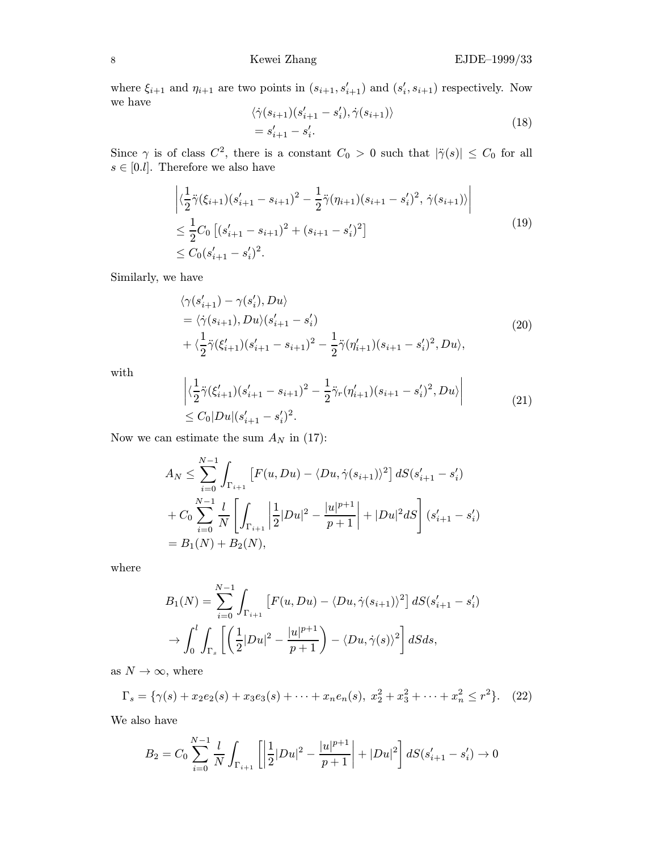where  $\xi_{i+1}$  and  $\eta_{i+1}$  are two points in  $(s_{i+1}, s'_{i+1})$  and  $(s'_{i}, s_{i+1})$  respectively. Now we have

$$
\langle \dot{\gamma}(s_{i+1})(s'_{i+1} - s'_{i}), \dot{\gamma}(s_{i+1}) \rangle
$$
  
=  $s'_{i+1} - s'_{i}$ . (18)

Since  $\gamma$  is of class  $C^2$ , there is a constant  $C_0 > 0$  such that  $|\ddot{\gamma}(s)| \leq C_0$  for all  $s \in [0,l]$ . Therefore we also have

$$
\left| \langle \frac{1}{2} \ddot{\gamma} (\xi_{i+1}) (s'_{i+1} - s_{i+1})^2 - \frac{1}{2} \ddot{\gamma} (\eta_{i+1}) (s_{i+1} - s'_{i})^2, \, \dot{\gamma} (s_{i+1}) \rangle \right|
$$
  
\n
$$
\leq \frac{1}{2} C_0 \left[ (s'_{i+1} - s_{i+1})^2 + (s_{i+1} - s'_{i})^2 \right]
$$
  
\n
$$
\leq C_0 (s'_{i+1} - s'_{i})^2.
$$
\n(19)

Similarly, we have

$$
\langle \gamma(s'_{i+1}) - \gamma(s'_{i}), Du \rangle
$$
  
=  $\langle \dot{\gamma}(s_{i+1}), Du \rangle (s'_{i+1} - s'_{i})$   
+  $\langle \frac{1}{2} \ddot{\gamma}(\xi'_{i+1})(s'_{i+1} - s_{i+1})^2 - \frac{1}{2} \ddot{\gamma}(\eta'_{i+1})(s_{i+1} - s'_{i})^2, Du \rangle,$  (20)

with

$$
\left| \langle \frac{1}{2} \ddot{\gamma} (\xi'_{i+1}) (s'_{i+1} - s_{i+1})^2 - \frac{1}{2} \ddot{\gamma}_r (\eta'_{i+1}) (s_{i+1} - s'_i)^2, Du \rangle \right|
$$
  
\n
$$
\leq C_0 |Du| (s'_{i+1} - s'_i)^2.
$$
\n(21)

Now we can estimate the sum  $A_N$  in (17):

$$
A_N \leq \sum_{i=0}^{N-1} \int_{\Gamma_{i+1}} \left[ F(u, Du) - \langle Du, \dot{\gamma}(s_{i+1}) \rangle^2 \right] dS(s'_{i+1} - s'_i)
$$
  
+  $C_0 \sum_{i=0}^{N-1} \frac{l}{N} \left[ \int_{\Gamma_{i+1}} \left| \frac{1}{2} |Du|^2 - \frac{|u|^{p+1}}{p+1} \right| + |Du|^2 dS \right] (s'_{i+1} - s'_i)$   
=  $B_1(N) + B_2(N)$ ,

where

$$
B_1(N) = \sum_{i=0}^{N-1} \int_{\Gamma_{i+1}} \left[ F(u, Du) - \langle Du, \dot{\gamma}(s_{i+1}) \rangle^2 \right] dS(s'_{i+1} - s'_i)
$$
  

$$
\to \int_0^l \int_{\Gamma_s} \left[ \left( \frac{1}{2} |Du|^2 - \frac{|u|^{p+1}}{p+1} \right) - \langle Du, \dot{\gamma}(s) \rangle^2 \right] dS ds,
$$

as  $N \to \infty$ , where

$$
\Gamma_s = \{ \gamma(s) + x_2 e_2(s) + x_3 e_3(s) + \dots + x_n e_n(s), \ x_2^2 + x_3^2 + \dots + x_n^2 \le r^2 \}. \tag{22}
$$

We also have

$$
B_2 = C_0 \sum_{i=0}^{N-1} \frac{l}{N} \int_{\Gamma_{i+1}} \left[ \left| \frac{1}{2} |Du|^2 - \frac{|u|^{p+1}}{p+1} \right| + |Du|^2 \right] dS(s_{i+1}' - s_i') \to 0
$$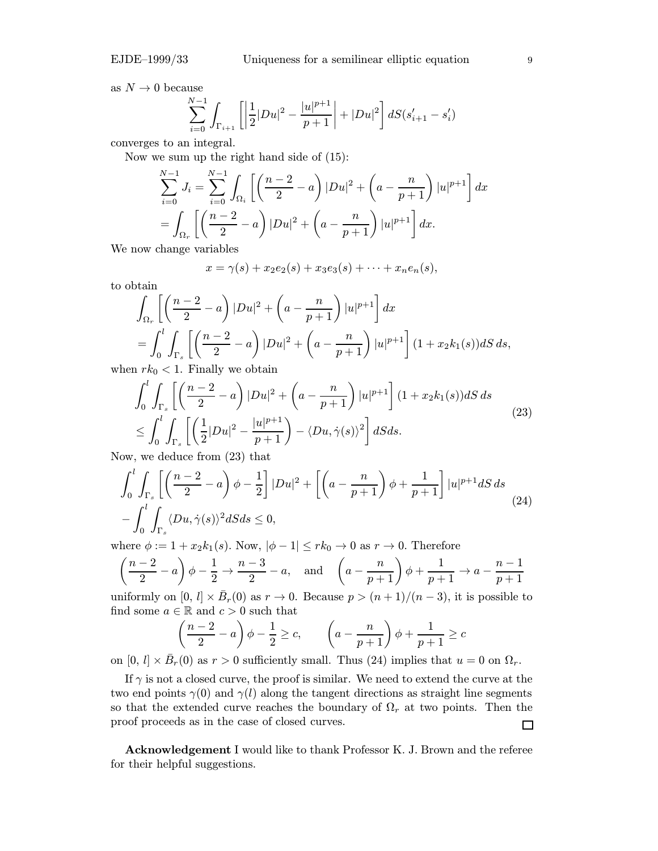as  $N \to 0$  because

$$
\sum_{i=0}^{N-1} \int_{\Gamma_{i+1}} \left[ \left| \frac{1}{2} |Du|^2 - \frac{|u|^{p+1}}{p+1} \right| + |Du|^2 \right] dS(s'_{i+1} - s'_i)
$$

converges to an integral.

Now we sum up the right hand side of (15):

$$
\sum_{i=0}^{N-1} J_i = \sum_{i=0}^{N-1} \int_{\Omega_i} \left[ \left( \frac{n-2}{2} - a \right) |Du|^2 + \left( a - \frac{n}{p+1} \right) |u|^{p+1} \right] dx
$$
  
= 
$$
\int_{\Omega_r} \left[ \left( \frac{n-2}{2} - a \right) |Du|^2 + \left( a - \frac{n}{p+1} \right) |u|^{p+1} \right] dx.
$$

We now change variables

$$
x = \gamma(s) + x_2 e_2(s) + x_3 e_3(s) + \cdots + x_n e_n(s),
$$

to obtain

$$
\int_{\Omega_r} \left[ \left( \frac{n-2}{2} - a \right) |Du|^2 + \left( a - \frac{n}{p+1} \right) |u|^{p+1} \right] dx
$$
  
= 
$$
\int_0^l \int_{\Gamma_s} \left[ \left( \frac{n-2}{2} - a \right) |Du|^2 + \left( a - \frac{n}{p+1} \right) |u|^{p+1} \right] (1 + x_2 k_1(s)) dS ds,
$$

when  $rk_0 < 1$ . Finally we obtain

$$
\int_0^l \int_{\Gamma_s} \left[ \left( \frac{n-2}{2} - a \right) |Du|^2 + \left( a - \frac{n}{p+1} \right) |u|^{p+1} \right] (1 + x_2 k_1(s)) dS ds
$$
\n
$$
\leq \int_0^l \int_{\Gamma_s} \left[ \left( \frac{1}{2} |Du|^2 - \frac{|u|^{p+1}}{p+1} \right) - \langle Du, \dot{\gamma}(s) \rangle^2 \right] dS ds.
$$
\n(23)

Now, we deduce from (23) that

$$
\int_0^l \int_{\Gamma_s} \left[ \left( \frac{n-2}{2} - a \right) \phi - \frac{1}{2} \right] |Du|^2 + \left[ \left( a - \frac{n}{p+1} \right) \phi + \frac{1}{p+1} \right] |u|^{p+1} dS \, ds
$$
  
- 
$$
\int_0^l \int_{\Gamma_s} \langle Du, \dot{\gamma}(s) \rangle^2 dS ds \le 0,
$$
 (24)

where  $\phi := 1 + x_2 k_1(s)$ . Now,  $|\phi - 1| \leq rk_0 \to 0$  as  $r \to 0$ . Therefore

$$
\left(\frac{n-2}{2} - a\right)\phi - \frac{1}{2} \to \frac{n-3}{2} - a, \text{ and } \left(a - \frac{n}{p+1}\right)\phi + \frac{1}{p+1} \to a - \frac{n-1}{p+1}
$$

uniformly on  $[0, l] \times \bar{B}_r(0)$  as  $r \to 0$ . Because  $p > (n+1)/(n-3)$ , it is possible to find some  $a \in \mathbb{R}$  and  $c > 0$  such that

$$
\left(\frac{n-2}{2} - a\right)\phi - \frac{1}{2} \ge c, \qquad \left(a - \frac{n}{p+1}\right)\phi + \frac{1}{p+1} \ge c
$$

on  $[0, l] \times \bar{B}_r(0)$  as  $r > 0$  sufficiently small. Thus (24) implies that  $u = 0$  on  $\Omega_r$ .

If  $\gamma$  is not a closed curve, the proof is similar. We need to extend the curve at the two end points  $\gamma(0)$  and  $\gamma(l)$  along the tangent directions as straight line segments so that the extended curve reaches the boundary of  $\Omega_r$  at two points. Then the proof proceeds as in the case of closed curves.  $\Box$ 

Acknowledgement I would like to thank Professor K. J. Brown and the referee for their helpful suggestions.